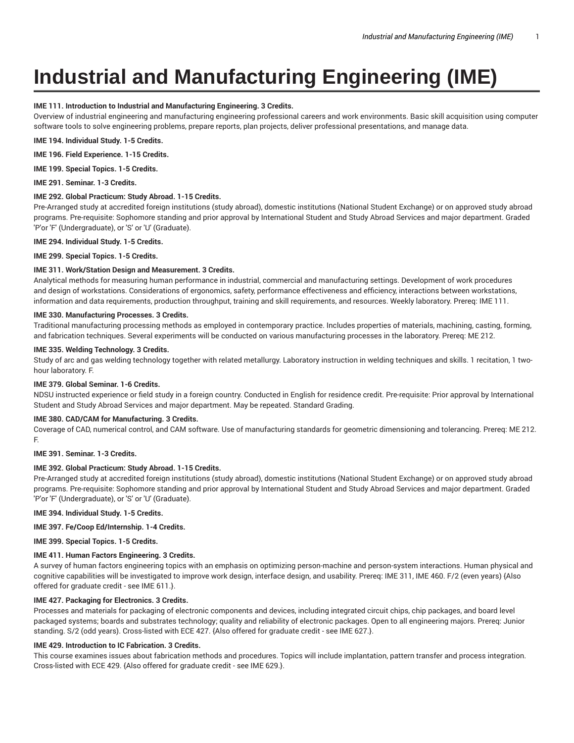# **Industrial and Manufacturing Engineering (IME)**

# **IME 111. Introduction to Industrial and Manufacturing Engineering. 3 Credits.**

Overview of industrial engineering and manufacturing engineering professional careers and work environments. Basic skill acquisition using computer software tools to solve engineering problems, prepare reports, plan projects, deliver professional presentations, and manage data.

**IME 194. Individual Study. 1-5 Credits.**

**IME 196. Field Experience. 1-15 Credits.**

**IME 199. Special Topics. 1-5 Credits.**

**IME 291. Seminar. 1-3 Credits.**

# **IME 292. Global Practicum: Study Abroad. 1-15 Credits.**

Pre-Arranged study at accredited foreign institutions (study abroad), domestic institutions (National Student Exchange) or on approved study abroad programs. Pre-requisite: Sophomore standing and prior approval by International Student and Study Abroad Services and major department. Graded 'P'or 'F' (Undergraduate), or 'S' or 'U' (Graduate).

**IME 294. Individual Study. 1-5 Credits.**

**IME 299. Special Topics. 1-5 Credits.**

# **IME 311. Work/Station Design and Measurement. 3 Credits.**

Analytical methods for measuring human performance in industrial, commercial and manufacturing settings. Development of work procedures and design of workstations. Considerations of ergonomics, safety, performance effectiveness and efficiency, interactions between workstations, information and data requirements, production throughput, training and skill requirements, and resources. Weekly laboratory. Prereq: IME 111.

# **IME 330. Manufacturing Processes. 3 Credits.**

Traditional manufacturing processing methods as employed in contemporary practice. Includes properties of materials, machining, casting, forming, and fabrication techniques. Several experiments will be conducted on various manufacturing processes in the laboratory. Prereq: ME 212.

# **IME 335. Welding Technology. 3 Credits.**

Study of arc and gas welding technology together with related metallurgy. Laboratory instruction in welding techniques and skills. 1 recitation, 1 twohour laboratory. F.

## **IME 379. Global Seminar. 1-6 Credits.**

NDSU instructed experience or field study in a foreign country. Conducted in English for residence credit. Pre-requisite: Prior approval by International Student and Study Abroad Services and major department. May be repeated. Standard Grading.

## **IME 380. CAD/CAM for Manufacturing. 3 Credits.**

Coverage of CAD, numerical control, and CAM software. Use of manufacturing standards for geometric dimensioning and tolerancing. Prereq: ME 212. F.

## **IME 391. Seminar. 1-3 Credits.**

# **IME 392. Global Practicum: Study Abroad. 1-15 Credits.**

Pre-Arranged study at accredited foreign institutions (study abroad), domestic institutions (National Student Exchange) or on approved study abroad programs. Pre-requisite: Sophomore standing and prior approval by International Student and Study Abroad Services and major department. Graded 'P'or 'F' (Undergraduate), or 'S' or 'U' (Graduate).

**IME 394. Individual Study. 1-5 Credits.**

# **IME 397. Fe/Coop Ed/Internship. 1-4 Credits.**

**IME 399. Special Topics. 1-5 Credits.**

# **IME 411. Human Factors Engineering. 3 Credits.**

A survey of human factors engineering topics with an emphasis on optimizing person-machine and person-system interactions. Human physical and cognitive capabilities will be investigated to improve work design, interface design, and usability. Prereq: IME 311, IME 460. F/2 (even years) {Also offered for graduate credit - see IME 611.}.

#### **IME 427. Packaging for Electronics. 3 Credits.**

Processes and materials for packaging of electronic components and devices, including integrated circuit chips, chip packages, and board level packaged systems; boards and substrates technology; quality and reliability of electronic packages. Open to all engineering majors. Prereq: Junior standing. S/2 (odd years). Cross-listed with ECE 427. {Also offered for graduate credit - see IME 627.}.

# **IME 429. Introduction to IC Fabrication. 3 Credits.**

This course examines issues about fabrication methods and procedures. Topics will include implantation, pattern transfer and process integration. Cross-listed with ECE 429. {Also offered for graduate credit - see IME 629.}.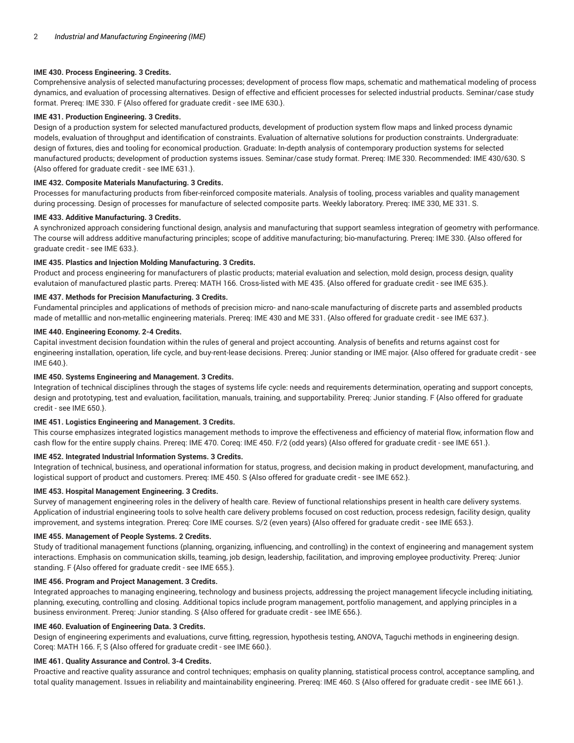# **IME 430. Process Engineering. 3 Credits.**

Comprehensive analysis of selected manufacturing processes; development of process flow maps, schematic and mathematical modeling of process dynamics, and evaluation of processing alternatives. Design of effective and efficient processes for selected industrial products. Seminar/case study format. Prereq: IME 330. F {Also offered for graduate credit - see IME 630.}.

# **IME 431. Production Engineering. 3 Credits.**

Design of a production system for selected manufactured products, development of production system flow maps and linked process dynamic models, evaluation of throughput and identification of constraints. Evaluation of alternative solutions for production constraints. Undergraduate: design of fixtures, dies and tooling for economical production. Graduate: In-depth analysis of contemporary production systems for selected manufactured products; development of production systems issues. Seminar/case study format. Prereq: IME 330. Recommended: IME 430/630. S {Also offered for graduate credit - see IME 631.}.

# **IME 432. Composite Materials Manufacturing. 3 Credits.**

Processes for manufacturing products from fiber-reinforced composite materials. Analysis of tooling, process variables and quality management during processing. Design of processes for manufacture of selected composite parts. Weekly laboratory. Prereq: IME 330, ME 331. S.

# **IME 433. Additive Manufacturing. 3 Credits.**

A synchronized approach considering functional design, analysis and manufacturing that support seamless integration of geometry with performance. The course will address additive manufacturing principles; scope of additive manufacturing; bio-manufacturing. Prereq: IME 330. {Also offered for graduate credit - see IME 633.}.

# **IME 435. Plastics and Injection Molding Manufacturing. 3 Credits.**

Product and process engineering for manufacturers of plastic products; material evaluation and selection, mold design, process design, quality evalutaion of manufactured plastic parts. Prereq: MATH 166. Cross-listed with ME 435. {Also offered for graduate credit - see IME 635.}.

# **IME 437. Methods for Precision Manufacturing. 3 Credits.**

Fundamental principles and applications of methods of precision micro- and nano-scale manufacturing of discrete parts and assembled products made of metalllic and non-metallic engineering materials. Prereq: IME 430 and ME 331. {Also offered for graduate credit - see IME 637.}.

#### **IME 440. Engineering Economy. 2-4 Credits.**

Capital investment decision foundation within the rules of general and project accounting. Analysis of benefits and returns against cost for engineering installation, operation, life cycle, and buy-rent-lease decisions. Prereq: Junior standing or IME major. {Also offered for graduate credit - see IME 640.}.

# **IME 450. Systems Engineering and Management. 3 Credits.**

Integration of technical disciplines through the stages of systems life cycle: needs and requirements determination, operating and support concepts, design and prototyping, test and evaluation, facilitation, manuals, training, and supportability. Prereq: Junior standing. F {Also offered for graduate credit - see IME 650.}.

# **IME 451. Logistics Engineering and Management. 3 Credits.**

This course emphasizes integrated logistics management methods to improve the effectiveness and efficiency of material flow, information flow and cash flow for the entire supply chains. Prereq: IME 470. Coreq: IME 450. F/2 (odd years) {Also offered for graduate credit - see IME 651.}.

# **IME 452. Integrated Industrial Information Systems. 3 Credits.**

Integration of technical, business, and operational information for status, progress, and decision making in product development, manufacturing, and logistical support of product and customers. Prereq: IME 450. S {Also offered for graduate credit - see IME 652.}.

# **IME 453. Hospital Management Engineering. 3 Credits.**

Survey of management engineering roles in the delivery of health care. Review of functional relationships present in health care delivery systems. Application of industrial engineering tools to solve health care delivery problems focused on cost reduction, process redesign, facility design, quality improvement, and systems integration. Prereq: Core IME courses. S/2 (even years) {Also offered for graduate credit - see IME 653.}.

# **IME 455. Management of People Systems. 2 Credits.**

Study of traditional management functions (planning, organizing, influencing, and controlling) in the context of engineering and management system interactions. Emphasis on communication skills, teaming, job design, leadership, facilitation, and improving employee productivity. Prereq: Junior standing. F {Also offered for graduate credit - see IME 655.}.

#### **IME 456. Program and Project Management. 3 Credits.**

Integrated approaches to managing engineering, technology and business projects, addressing the project management lifecycle including initiating, planning, executing, controlling and closing. Additional topics include program management, portfolio management, and applying principles in a business environment. Prereq: Junior standing. S {Also offered for graduate credit - see IME 656.}.

# **IME 460. Evaluation of Engineering Data. 3 Credits.**

Design of engineering experiments and evaluations, curve fitting, regression, hypothesis testing, ANOVA, Taguchi methods in engineering design. Coreq: MATH 166. F, S {Also offered for graduate credit - see IME 660.}.

## **IME 461. Quality Assurance and Control. 3-4 Credits.**

Proactive and reactive quality assurance and control techniques; emphasis on quality planning, statistical process control, acceptance sampling, and total quality management. Issues in reliability and maintainability engineering. Prereq: IME 460. S {Also offered for graduate credit - see IME 661.}.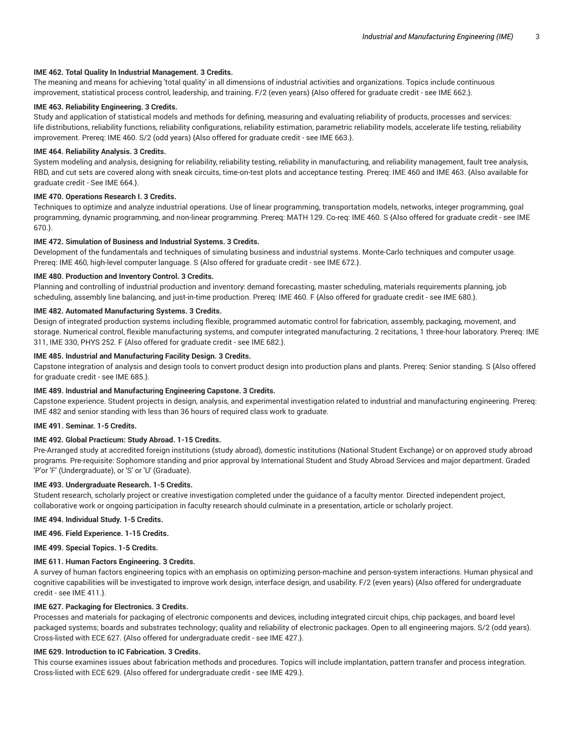# **IME 462. Total Quality In Industrial Management. 3 Credits.**

The meaning and means for achieving 'total quality' in all dimensions of industrial activities and organizations. Topics include continuous improvement, statistical process control, leadership, and training. F/2 (even years) {Also offered for graduate credit - see IME 662.}.

# **IME 463. Reliability Engineering. 3 Credits.**

Study and application of statistical models and methods for defining, measuring and evaluating reliability of products, processes and services: life distributions, reliability functions, reliability configurations, reliability estimation, parametric reliability models, accelerate life testing, reliability improvement. Prereq: IME 460. S/2 (odd years) {Also offered for graduate credit - see IME 663.}.

## **IME 464. Reliability Analysis. 3 Credits.**

System modeling and analysis, designing for reliability, reliability testing, reliability in manufacturing, and reliability management, fault tree analysis, RBD, and cut sets are covered along with sneak circuits, time-on-test plots and acceptance testing. Prereq: IME 460 and IME 463. {Also available for graduate credit - See IME 664.}.

# **IME 470. Operations Research I. 3 Credits.**

Techniques to optimize and analyze industrial operations. Use of linear programming, transportation models, networks, integer programming, goal programming, dynamic programming, and non-linear programming. Prereq: MATH 129. Co-req: IME 460. S {Also offered for graduate credit - see IME 670.}.

# **IME 472. Simulation of Business and Industrial Systems. 3 Credits.**

Development of the fundamentals and techniques of simulating business and industrial systems. Monte-Carlo techniques and computer usage. Prereq: IME 460, high-level computer language. S {Also offered for graduate credit - see IME 672.}.

# **IME 480. Production and Inventory Control. 3 Credits.**

Planning and controlling of industrial production and inventory: demand forecasting, master scheduling, materials requirements planning, job scheduling, assembly line balancing, and just-in-time production. Prereq: IME 460. F {Also offered for graduate credit - see IME 680.}.

# **IME 482. Automated Manufacturing Systems. 3 Credits.**

Design of integrated production systems including flexible, programmed automatic control for fabrication, assembly, packaging, movement, and storage. Numerical control, flexible manufacturing systems, and computer integrated manufacturing. 2 recitations, 1 three-hour laboratory. Prereq: IME 311, IME 330, PHYS 252. F {Also offered for graduate credit - see IME 682.}.

# **IME 485. Industrial and Manufacturing Facility Design. 3 Credits.**

Capstone integration of analysis and design tools to convert product design into production plans and plants. Prereq: Senior standing. S {Also offered for graduate credit - see IME 685.}.

# **IME 489. Industrial and Manufacturing Engineering Capstone. 3 Credits.**

Capstone experience. Student projects in design, analysis, and experimental investigation related to industrial and manufacturing engineering. Prereq: IME 482 and senior standing with less than 36 hours of required class work to graduate.

#### **IME 491. Seminar. 1-5 Credits.**

#### **IME 492. Global Practicum: Study Abroad. 1-15 Credits.**

Pre-Arranged study at accredited foreign institutions (study abroad), domestic institutions (National Student Exchange) or on approved study abroad programs. Pre-requisite: Sophomore standing and prior approval by International Student and Study Abroad Services and major department. Graded 'P'or 'F' (Undergraduate), or 'S' or 'U' (Graduate).

#### **IME 493. Undergraduate Research. 1-5 Credits.**

Student research, scholarly project or creative investigation completed under the guidance of a faculty mentor. Directed independent project, collaborative work or ongoing participation in faculty research should culminate in a presentation, article or scholarly project.

**IME 494. Individual Study. 1-5 Credits.**

#### **IME 496. Field Experience. 1-15 Credits.**

**IME 499. Special Topics. 1-5 Credits.**

# **IME 611. Human Factors Engineering. 3 Credits.**

A survey of human factors engineering topics with an emphasis on optimizing person-machine and person-system interactions. Human physical and cognitive capabilities will be investigated to improve work design, interface design, and usability. F/2 (even years) {Also offered for undergraduate credit - see IME 411.}.

# **IME 627. Packaging for Electronics. 3 Credits.**

Processes and materials for packaging of electronic components and devices, including integrated circuit chips, chip packages, and board level packaged systems; boards and substrates technology; quality and reliability of electronic packages. Open to all engineering majors. S/2 (odd years). Cross-listed with ECE 627. {Also offered for undergraduate credit - see IME 427.}.

## **IME 629. Introduction to IC Fabrication. 3 Credits.**

This course examines issues about fabrication methods and procedures. Topics will include implantation, pattern transfer and process integration. Cross-listed with ECE 629. {Also offered for undergraduate credit - see IME 429.}.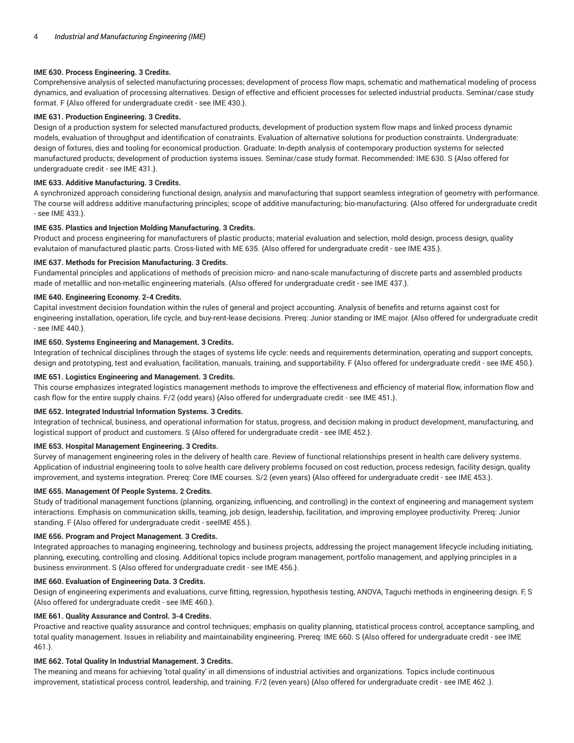# **IME 630. Process Engineering. 3 Credits.**

Comprehensive analysis of selected manufacturing processes; development of process flow maps, schematic and mathematical modeling of process dynamics, and evaluation of processing alternatives. Design of effective and efficient processes for selected industrial products. Seminar/case study format. F {Also offered for undergraduate credit - see IME 430.}.

# **IME 631. Production Engineering. 3 Credits.**

Design of a production system for selected manufactured products, development of production system flow maps and linked process dynamic models, evaluation of throughput and identification of constraints. Evaluation of alternative solutions for production constraints. Undergraduate: design of fixtures, dies and tooling for economical production. Graduate: In-depth analysis of contemporary production systems for selected manufactured products; development of production systems issues. Seminar/case study format. Recommended: IME 630. S {Also offered for undergraduate credit - see IME 431.}.

# **IME 633. Additive Manufacturing. 3 Credits.**

A synchronized approach considering functional design, analysis and manufacturing that support seamless integration of geometry with performance. The course will address additive manufacturing principles; scope of additive manufacturing; bio-manufacturing. {Also offered for undergraduate credit - see IME 433.}.

#### **IME 635. Plastics and Injection Molding Manufacturing. 3 Credits.**

Product and process engineering for manufacturers of plastic products; material evaluation and selection, mold design, process design, quality evalutaion of manufactured plastic parts. Cross-listed with ME 635. {Also offered for undergraduate credit - see IME 435.}.

# **IME 637. Methods for Precision Manufacturing. 3 Credits.**

Fundamental principles and applications of methods of precision micro- and nano-scale manufacturing of discrete parts and assembled products made of metalllic and non-metallic engineering materials. {Also offered for undergraduate credit - see IME 437.}.

# **IME 640. Engineering Economy. 2-4 Credits.**

Capital investment decision foundation within the rules of general and project accounting. Analysis of benefits and returns against cost for engineering installation, operation, life cycle, and buy-rent-lease decisions. Prereq: Junior standing or IME major. {Also offered for undergraduate credit - see IME 440.}.

# **IME 650. Systems Engineering and Management. 3 Credits.**

Integration of technical disciplines through the stages of systems life cycle: needs and requirements determination, operating and support concepts, design and prototyping, test and evaluation, facilitation, manuals, training, and supportability. F {Also offered for undergraduate credit - see IME 450.}.

#### **IME 651. Logistics Engineering and Management. 3 Credits.**

This course emphasizes integrated logistics management methods to improve the effectiveness and efficiency of material flow, information flow and cash flow for the entire supply chains. F/2 (odd years) {Also offered for undergraduate credit - see IME 451.}.

# **IME 652. Integrated Industrial Information Systems. 3 Credits.**

Integration of technical, business, and operational information for status, progress, and decision making in product development, manufacturing, and logistical support of product and customers. S {Also offered for undergraduate credit - see IME 452.}.

# **IME 653. Hospital Management Engineering. 3 Credits.**

Survey of management engineering roles in the delivery of health care. Review of functional relationships present in health care delivery systems. Application of industrial engineering tools to solve health care delivery problems focused on cost reduction, process redesign, facility design, quality improvement, and systems integration. Prereq: Core IME courses. S/2 (even years) {Also offered for undergraduate credit - see IME 453.}.

# **IME 655. Management Of People Systems. 2 Credits.**

Study of traditional management functions (planning, organizing, influencing, and controlling) in the context of engineering and management system interactions. Emphasis on communication skills, teaming, job design, leadership, facilitation, and improving employee productivity. Prereq: Junior standing. F {Also offered for undergraduate credit - seeIME 455.}.

#### **IME 656. Program and Project Management. 3 Credits.**

Integrated approaches to managing engineering, technology and business projects, addressing the project management lifecycle including initiating, planning, executing, controlling and closing. Additional topics include program management, portfolio management, and applying principles in a business environment. S {Also offered for undergraduate credit - see IME 456.}.

#### **IME 660. Evaluation of Engineering Data. 3 Credits.**

Design of engineering experiments and evaluations, curve fitting, regression, hypothesis testing, ANOVA, Taguchi methods in engineering design. F, S {Also offered for undergraduate credit - see IME 460.}.

#### **IME 661. Quality Assurance and Control. 3-4 Credits.**

Proactive and reactive quality assurance and control techniques; emphasis on quality planning, statistical process control, acceptance sampling, and total quality management. Issues in reliability and maintainability engineering. Prereq: IME 660. S {Also offered for undergraduate credit - see IME 461.}.

# **IME 662. Total Quality In Industrial Management. 3 Credits.**

The meaning and means for achieving 'total quality' in all dimensions of industrial activities and organizations. Topics include continuous improvement, statistical process control, leadership, and training. F/2 (even years) {Also offered for undergraduate credit - see IME 462 .}.